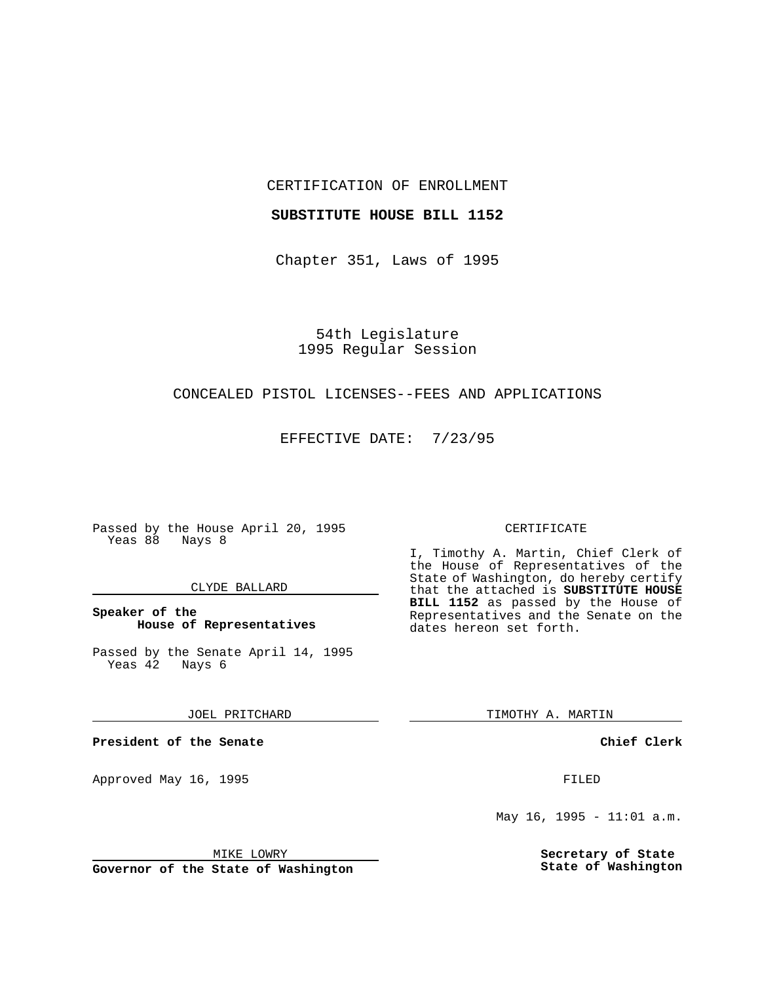CERTIFICATION OF ENROLLMENT

#### **SUBSTITUTE HOUSE BILL 1152**

Chapter 351, Laws of 1995

54th Legislature 1995 Regular Session

## CONCEALED PISTOL LICENSES--FEES AND APPLICATIONS

EFFECTIVE DATE: 7/23/95

Passed by the House April 20, 1995 Yeas 88 Nays 8

### CLYDE BALLARD

## **Speaker of the House of Representatives**

Passed by the Senate April 14, 1995<br>Yeas 42 Nays 6 Yeas 42

JOEL PRITCHARD

**President of the Senate**

Approved May 16, 1995 FILED

#### MIKE LOWRY

**Governor of the State of Washington**

#### CERTIFICATE

I, Timothy A. Martin, Chief Clerk of the House of Representatives of the State of Washington, do hereby certify that the attached is **SUBSTITUTE HOUSE BILL 1152** as passed by the House of Representatives and the Senate on the dates hereon set forth.

TIMOTHY A. MARTIN

**Chief Clerk**

May 16, 1995 -  $11:01$  a.m.

**Secretary of State State of Washington**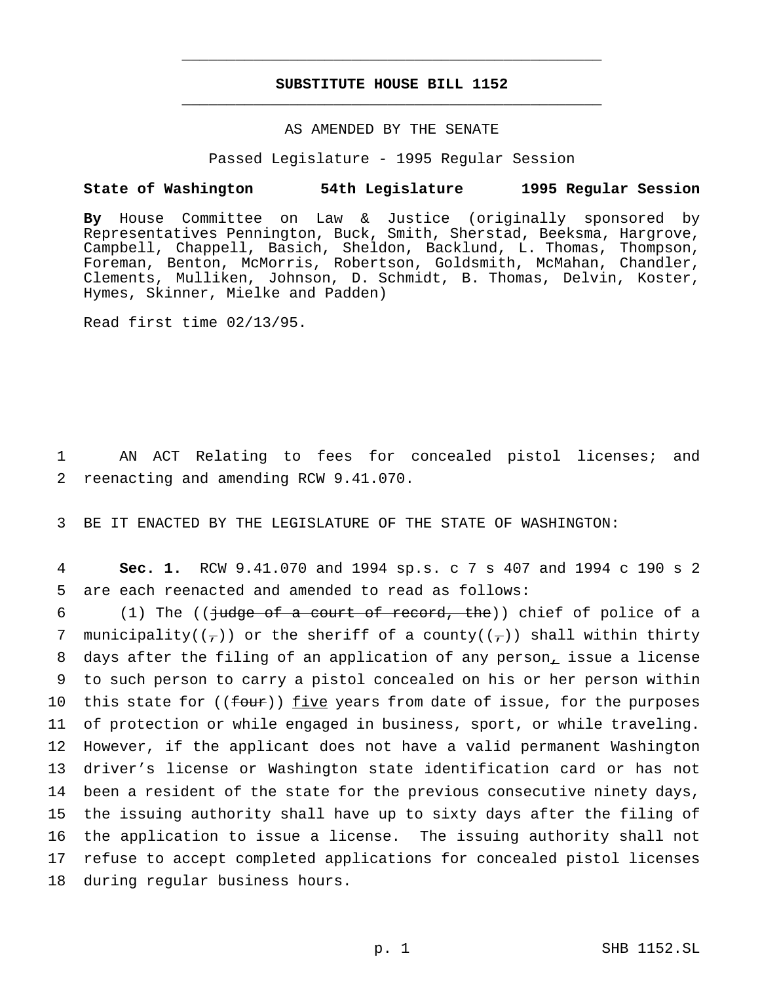# **SUBSTITUTE HOUSE BILL 1152** \_\_\_\_\_\_\_\_\_\_\_\_\_\_\_\_\_\_\_\_\_\_\_\_\_\_\_\_\_\_\_\_\_\_\_\_\_\_\_\_\_\_\_\_\_\_\_

\_\_\_\_\_\_\_\_\_\_\_\_\_\_\_\_\_\_\_\_\_\_\_\_\_\_\_\_\_\_\_\_\_\_\_\_\_\_\_\_\_\_\_\_\_\_\_

## AS AMENDED BY THE SENATE

Passed Legislature - 1995 Regular Session

#### **State of Washington 54th Legislature 1995 Regular Session**

**By** House Committee on Law & Justice (originally sponsored by Representatives Pennington, Buck, Smith, Sherstad, Beeksma, Hargrove, Campbell, Chappell, Basich, Sheldon, Backlund, L. Thomas, Thompson, Foreman, Benton, McMorris, Robertson, Goldsmith, McMahan, Chandler, Clements, Mulliken, Johnson, D. Schmidt, B. Thomas, Delvin, Koster, Hymes, Skinner, Mielke and Padden)

Read first time 02/13/95.

1 AN ACT Relating to fees for concealed pistol licenses; and 2 reenacting and amending RCW 9.41.070.

3 BE IT ENACTED BY THE LEGISLATURE OF THE STATE OF WASHINGTON:

4 **Sec. 1.** RCW 9.41.070 and 1994 sp.s. c 7 s 407 and 1994 c 190 s 2 5 are each reenacted and amended to read as follows:

 (1) The ((judge of a court of record, the)) chief of police of a 7 municipality( $(\tau)$ ) or the sheriff of a county( $(\tau)$ ) shall within thirty days after the filing of an application of any person, issue a license to such person to carry a pistol concealed on his or her person within 10 this state for  $((f_{\text{out}}))$  five years from date of issue, for the purposes of protection or while engaged in business, sport, or while traveling. However, if the applicant does not have a valid permanent Washington driver's license or Washington state identification card or has not been a resident of the state for the previous consecutive ninety days, the issuing authority shall have up to sixty days after the filing of the application to issue a license. The issuing authority shall not refuse to accept completed applications for concealed pistol licenses during regular business hours.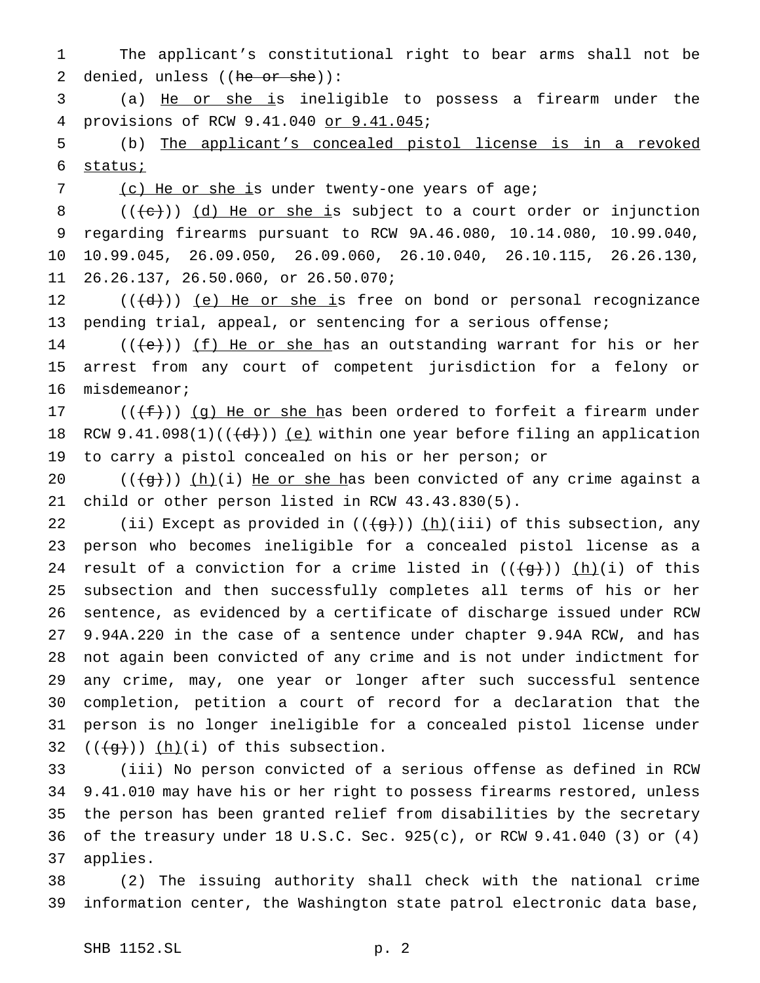The applicant's constitutional right to bear arms shall not be 2 denied, unless ((he or she)):

 (a) He or she is ineligible to possess a firearm under the provisions of RCW 9.41.040 or 9.41.045;

 (b) The applicant's concealed pistol license is in a revoked status;

7 (c) He or she is under twenty-one years of age;

 $((\{e\})$   $(d)$  He or she is subject to a court order or injunction regarding firearms pursuant to RCW 9A.46.080, 10.14.080, 10.99.040, 10.99.045, 26.09.050, 26.09.060, 26.10.040, 26.10.115, 26.26.130, 26.26.137, 26.50.060, or 26.50.070;

12  $((\{d\})$  (e) He or she is free on bond or personal recognizance pending trial, appeal, or sentencing for a serious offense;

14 ( $(\{e\})$ ) <u>(f) He or she h</u>as an outstanding warrant for his or her arrest from any court of competent jurisdiction for a felony or misdemeanor;

17 ( $(\{\pm\})$ ) (g) He or she has been ordered to forfeit a firearm under 18 RCW  $9.41.098(1)((\{d\}))$  (e) within one year before filing an application to carry a pistol concealed on his or her person; or

20  $((+g))$   $(h)(i)$  He or she has been convicted of any crime against a child or other person listed in RCW 43.43.830(5).

22 (ii) Except as provided in  $((\{g\}))(\hbar)(iii)$  of this subsection, any person who becomes ineligible for a concealed pistol license as a 24 result of a conviction for a crime listed in  $((\{q\}))(h)(i)$  of this subsection and then successfully completes all terms of his or her sentence, as evidenced by a certificate of discharge issued under RCW 9.94A.220 in the case of a sentence under chapter 9.94A RCW, and has not again been convicted of any crime and is not under indictment for any crime, may, one year or longer after such successful sentence completion, petition a court of record for a declaration that the person is no longer ineligible for a concealed pistol license under  $((\frac{1}{9}))(h)(i)$  of this subsection.

 (iii) No person convicted of a serious offense as defined in RCW 9.41.010 may have his or her right to possess firearms restored, unless the person has been granted relief from disabilities by the secretary of the treasury under 18 U.S.C. Sec. 925(c), or RCW 9.41.040 (3) or (4) applies.

 (2) The issuing authority shall check with the national crime information center, the Washington state patrol electronic data base,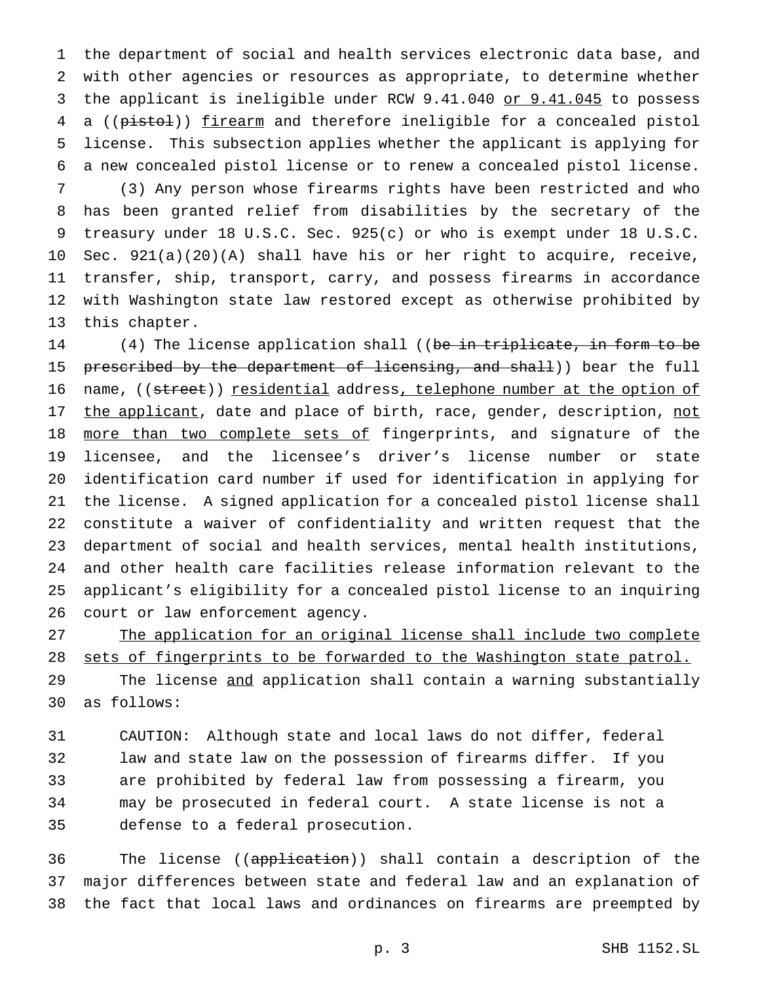the department of social and health services electronic data base, and with other agencies or resources as appropriate, to determine whether 3 the applicant is ineligible under RCW 9.41.040 or 9.41.045 to possess 4 a ((pistol)) firearm and therefore ineligible for a concealed pistol license. This subsection applies whether the applicant is applying for a new concealed pistol license or to renew a concealed pistol license.

 (3) Any person whose firearms rights have been restricted and who has been granted relief from disabilities by the secretary of the treasury under 18 U.S.C. Sec. 925(c) or who is exempt under 18 U.S.C. Sec. 921(a)(20)(A) shall have his or her right to acquire, receive, transfer, ship, transport, carry, and possess firearms in accordance with Washington state law restored except as otherwise prohibited by this chapter.

14 (4) The license application shall ((be in triplicate, in form to be 15 prescribed by the department of licensing, and shall)) bear the full 16 name, ((street)) residential address, telephone number at the option of 17 the applicant, date and place of birth, race, gender, description, not 18 more than two complete sets of fingerprints, and signature of the licensee, and the licensee's driver's license number or state identification card number if used for identification in applying for the license. A signed application for a concealed pistol license shall constitute a waiver of confidentiality and written request that the department of social and health services, mental health institutions, and other health care facilities release information relevant to the applicant's eligibility for a concealed pistol license to an inquiring court or law enforcement agency.

 The application for an original license shall include two complete 28 sets of fingerprints to be forwarded to the Washington state patrol. 29 The license and application shall contain a warning substantially as follows:

 CAUTION: Although state and local laws do not differ, federal law and state law on the possession of firearms differ. If you are prohibited by federal law from possessing a firearm, you may be prosecuted in federal court. A state license is not a defense to a federal prosecution.

36 The license ((application)) shall contain a description of the major differences between state and federal law and an explanation of the fact that local laws and ordinances on firearms are preempted by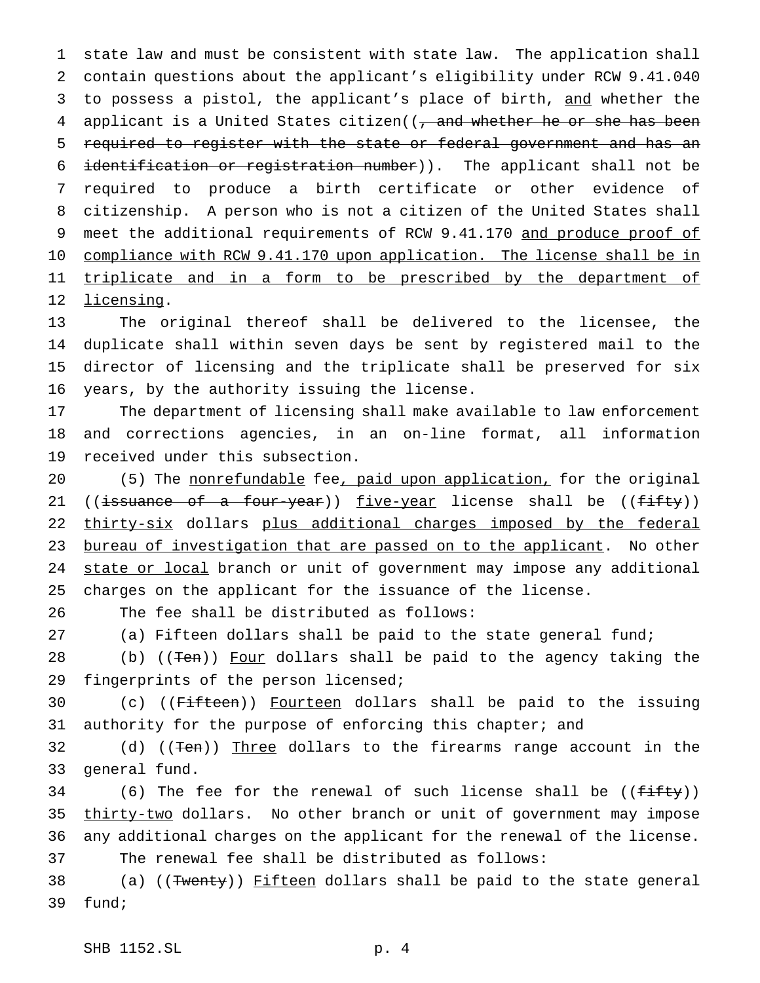1 state law and must be consistent with state law. The application shall 2 contain questions about the applicant's eligibility under RCW 9.41.040 3 to possess a pistol, the applicant's place of birth, and whether the 4 applicant is a United States citizen((, and whether he or she has been 5 required to register with the state or federal government and has an 6 identification or registration number)). The applicant shall not be 7 required to produce a birth certificate or other evidence of 8 citizenship. A person who is not a citizen of the United States shall 9 meet the additional requirements of RCW 9.41.170 and produce proof of 10 compliance with RCW 9.41.170 upon application. The license shall be in 11 triplicate and in a form to be prescribed by the department of 12 licensing.

 The original thereof shall be delivered to the licensee, the duplicate shall within seven days be sent by registered mail to the director of licensing and the triplicate shall be preserved for six years, by the authority issuing the license.

17 The department of licensing shall make available to law enforcement 18 and corrections agencies, in an on-line format, all information 19 received under this subsection.

20 (5) The nonrefundable fee, paid upon application, for the original 21 ((issuance of a four-year)) five-year license shall be ((fifty)) 22 thirty-six dollars plus additional charges imposed by the federal 23 bureau of investigation that are passed on to the applicant. No other 24 state or local branch or unit of government may impose any additional 25 charges on the applicant for the issuance of the license.

26 The fee shall be distributed as follows:

27 (a) Fifteen dollars shall be paid to the state general fund;

28 (b) ((<del>Ten</del>)) Four dollars shall be paid to the agency taking the 29 fingerprints of the person licensed;

30 (c) ((Fifteen)) Fourteen dollars shall be paid to the issuing 31 authority for the purpose of enforcing this chapter; and

32 (d) ((<del>Ten</del>)) Three dollars to the firearms range account in the 33 general fund.

34 (6) The fee for the renewal of such license shall be  $((fiff y))$ 35 thirty-two dollars. No other branch or unit of government may impose 36 any additional charges on the applicant for the renewal of the license. 37 The renewal fee shall be distributed as follows:

38 (a) ((Twenty)) Fifteen dollars shall be paid to the state general 39 fund;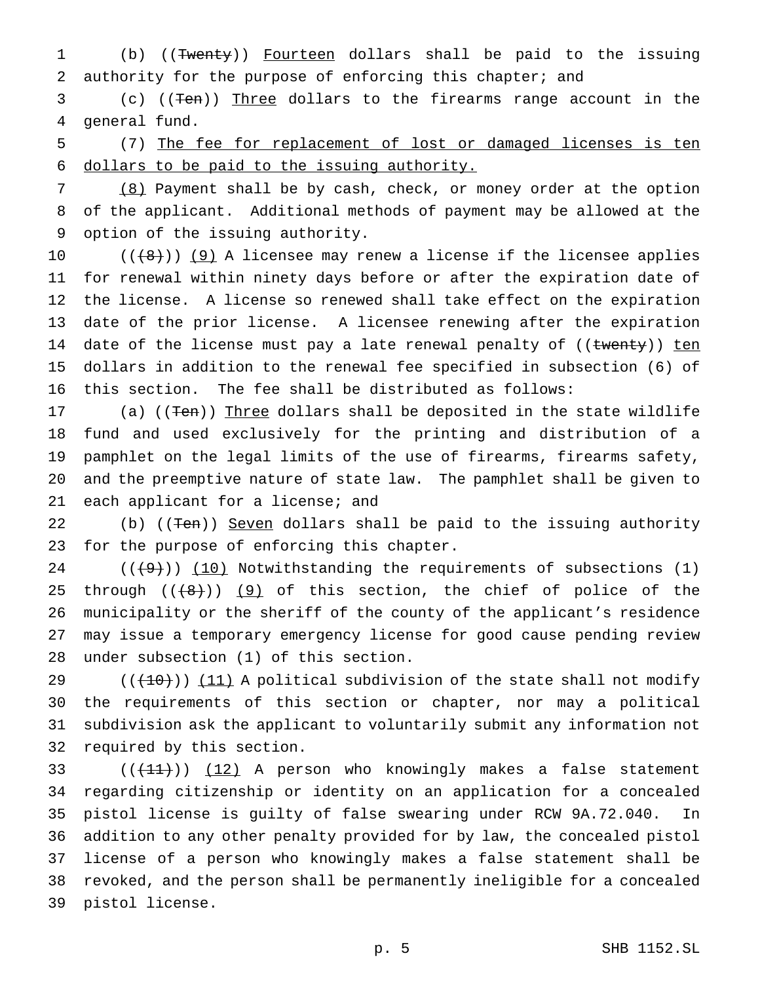1 (b) ((Twenty)) Fourteen dollars shall be paid to the issuing authority for the purpose of enforcing this chapter; and

 (c) ((Ten)) Three dollars to the firearms range account in the general fund.

 (7) The fee for replacement of lost or damaged licenses is ten dollars to be paid to the issuing authority.

 (8) Payment shall be by cash, check, or money order at the option of the applicant. Additional methods of payment may be allowed at the option of the issuing authority.

 $((+8))$  (9) A licensee may renew a license if the licensee applies for renewal within ninety days before or after the expiration date of the license. A license so renewed shall take effect on the expiration date of the prior license. A licensee renewing after the expiration 14 date of the license must pay a late renewal penalty of ((twenty)) ten dollars in addition to the renewal fee specified in subsection (6) of this section. The fee shall be distributed as follows:

17 (a) ((Ten)) Three dollars shall be deposited in the state wildlife fund and used exclusively for the printing and distribution of a pamphlet on the legal limits of the use of firearms, firearms safety, and the preemptive nature of state law. The pamphlet shall be given to each applicant for a license; and

22 (b) ((Ten)) Seven dollars shall be paid to the issuing authority for the purpose of enforcing this chapter.

 $((+9))$  (10) Notwithstanding the requirements of subsections (1) 25 through  $((+8))$   $(9)$  of this section, the chief of police of the municipality or the sheriff of the county of the applicant's residence may issue a temporary emergency license for good cause pending review under subsection (1) of this section.

 $((+10))$   $(11)$  A political subdivision of the state shall not modify the requirements of this section or chapter, nor may a political subdivision ask the applicant to voluntarily submit any information not required by this section.

 $((+11))$   $(12)$  A person who knowingly makes a false statement regarding citizenship or identity on an application for a concealed pistol license is guilty of false swearing under RCW 9A.72.040. In addition to any other penalty provided for by law, the concealed pistol license of a person who knowingly makes a false statement shall be revoked, and the person shall be permanently ineligible for a concealed pistol license.